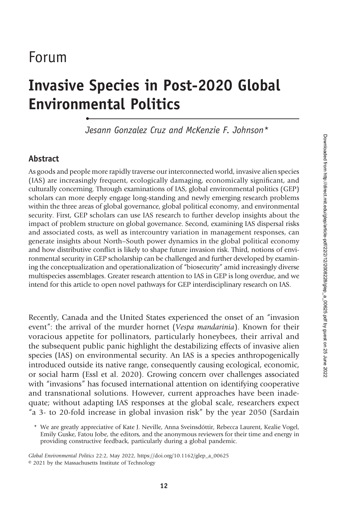# Forum

# Invasive Species in Post-2020 Global Environmental Politics •

Jesann Gonzalez Cruz and McKenzie F. Johnson\*

#### Abstract

As goods and people more rapidly traverse our interconnected world, invasive alien species (IAS) are increasingly frequent, ecologically damaging, economically significant, and culturally concerning. Through examinations of IAS, global environmental politics (GEP) scholars can more deeply engage long-standing and newly emerging research problems within the three areas of global governance, global political economy, and environmental security. First, GEP scholars can use IAS research to further develop insights about the impact of problem structure on global governance. Second, examining IAS dispersal risks and associated costs, as well as intercountry variation in management responses, can generate insights about North–South power dynamics in the global political economy and how distributive conflict is likely to shape future invasion risk. Third, notions of environmental security in GEP scholarship can be challenged and further developed by examining the conceptualization and operationalization of "biosecurity" amid increasingly diverse multispecies assemblages. Greater research attention to IAS in GEP is long overdue, and we intend for this article to open novel pathways for GEP interdisciplinary research on IAS.

Recently, Canada and the United States experienced the onset of an "invasion event": the arrival of the murder hornet (Vespa mandarinia). Known for their voracious appetite for pollinators, particularly honeybees, their arrival and the subsequent public panic highlight the destabilizing effects of invasive alien species (IAS) on environmental security. An IAS is a species anthropogenically introduced outside its native range, consequently causing ecological, economic, or social harm (Essl et al. 2020). Growing concern over challenges associated with "invasions" has focused international attention on identifying cooperative and transnational solutions. However, current approaches have been inadequate; without adapting IAS responses at the global scale, researchers expect "a 3- to 20-fold increase in global invasion risk" by the year 2050 (Sardain

\* We are greatly appreciative of Kate J. Neville, Anna Sveinsdóttir, Rebecca Laurent, Kealie Vogel, Emily Guske, Fatou Jobe, the editors, and the anonymous reviewers for their time and energy in providing constructive feedback, particularly during a global pandemic.

Global Environmental Politics 22:2, May 2022, https://doi.org/10.1162/glep\_a\_00625 © 2021 by the Massachusetts Institute of Technology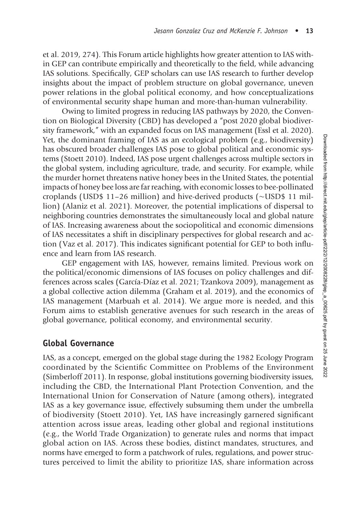et al. 2019, 274). This Forum article highlights how greater attention to IAS within GEP can contribute empirically and theoretically to the field, while advancing IAS solutions. Specifically, GEP scholars can use IAS research to further develop insights about the impact of problem structure on global governance, uneven power relations in the global political economy, and how conceptualizations of environmental security shape human and more-than-human vulnerability.

Owing to limited progress in reducing IAS pathways by 2020, the Convention on Biological Diversity (CBD) has developed a "post 2020 global biodiversity framework," with an expanded focus on IAS management (Essl et al. 2020). Yet, the dominant framing of IAS as an ecological problem (e.g., biodiversity) has obscured broader challenges IAS pose to global political and economic systems (Stoett 2010). Indeed, IAS pose urgent challenges across multiple sectors in the global system, including agriculture, trade, and security. For example, while the murder hornet threatens native honey bees in the United States, the potential impacts of honey bee loss are far reaching, with economic losses to bee-pollinated croplands (USD\$ 11–26 million) and hive-derived products (∼USD\$ 11 million) (Alaniz et al. 2021). Moreover, the potential implications of dispersal to neighboring countries demonstrates the simultaneously local and global nature of IAS. Increasing awareness about the sociopolitical and economic dimensions of IAS necessitates a shift in disciplinary perspectives for global research and action (Vaz et al. 2017). This indicates significant potential for GEP to both influence and learn from IAS research.

GEP engagement with IAS, however, remains limited. Previous work on the political/economic dimensions of IAS focuses on policy challenges and differences across scales (García-Díaz et al. 2021; Tzankova 2009), management as a global collective action dilemma (Graham et al. 2019), and the economics of IAS management (Marbuah et al. 2014). We argue more is needed, and this Forum aims to establish generative avenues for such research in the areas of global governance, political economy, and environmental security.

#### Global Governance

IAS, as a concept, emerged on the global stage during the 1982 Ecology Program coordinated by the Scientific Committee on Problems of the Environment (Simberloff 2011). In response, global institutions governing biodiversity issues, including the CBD, the International Plant Protection Convention, and the International Union for Conservation of Nature (among others), integrated IAS as a key governance issue, effectively subsuming them under the umbrella of biodiversity (Stoett 2010). Yet, IAS have increasingly garnered significant attention across issue areas, leading other global and regional institutions (e.g., the World Trade Organization) to generate rules and norms that impact global action on IAS. Across these bodies, distinct mandates, structures, and norms have emerged to form a patchwork of rules, regulations, and power structures perceived to limit the ability to prioritize IAS, share information across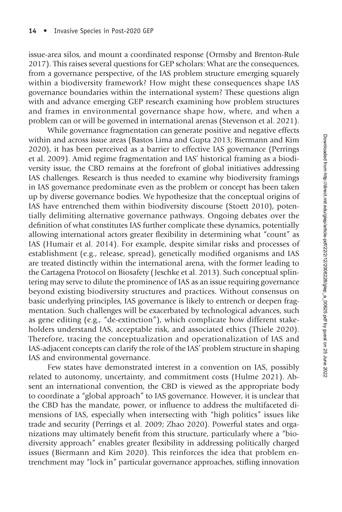issue-area silos, and mount a coordinated response (Ormsby and Brenton-Rule 2017). This raises several questions for GEP scholars: What are the consequences, from a governance perspective, of the IAS problem structure emerging squarely within a biodiversity framework? How might these consequences shape IAS governance boundaries within the international system? These questions align with and advance emerging GEP research examining how problem structures and frames in environmental governance shape how, where, and when a problem can or will be governed in international arenas (Stevenson et al. 2021).

While governance fragmentation can generate positive and negative effects within and across issue areas (Bastos Lima and Gupta 2013; Biermann and Kim 2020), it has been perceived as a barrier to effective IAS governance (Perrings et al. 2009). Amid regime fragmentation and IAS' historical framing as a biodiversity issue, the CBD remains at the forefront of global initiatives addressing IAS challenges. Research is thus needed to examine why biodiversity framings in IAS governance predominate even as the problem or concept has been taken up by diverse governance bodies. We hypothesize that the conceptual origins of IAS have entrenched them within biodiversity discourse (Stoett 2010), potentially delimiting alternative governance pathways. Ongoing debates over the definition of what constitutes IAS further complicate these dynamics, potentially allowing international actors greater flexibility in determining what "count" as IAS (Humair et al. 2014). For example, despite similar risks and processes of establishment (e.g., release, spread), genetically modified organisms and IAS are treated distinctly within the international arena, with the former leading to the Cartagena Protocol on Biosafety ( Jeschke et al. 2013). Such conceptual splintering may serve to dilute the prominence of IAS as an issue requiring governance beyond existing biodiversity structures and practices. Without consensus on basic underlying principles, IAS governance is likely to entrench or deepen fragmentation. Such challenges will be exacerbated by technological advances, such as gene editing (e.g., "de-extinction"), which complicate how different stakeholders understand IAS, acceptable risk, and associated ethics (Thiele 2020). Therefore, tracing the conceptualization and operationalization of IAS and IAS-adjacent concepts can clarify the role of the IAS' problem structure in shaping IAS and environmental governance.

Few states have demonstrated interest in a convention on IAS, possibly related to autonomy, uncertainty, and commitment costs (Hulme 2021). Absent an international convention, the CBD is viewed as the appropriate body to coordinate a "global approach" to IAS governance. However, it is unclear that the CBD has the mandate, power, or influence to address the multifaceted dimensions of IAS, especially when intersecting with "high politics" issues like trade and security (Perrings et al. 2009; Zhao 2020). Powerful states and organizations may ultimately benefit from this structure, particularly where a "biodiversity approach" enables greater flexibility in addressing politically charged issues (Biermann and Kim 2020). This reinforces the idea that problem entrenchment may "lock in" particular governance approaches, stifling innovation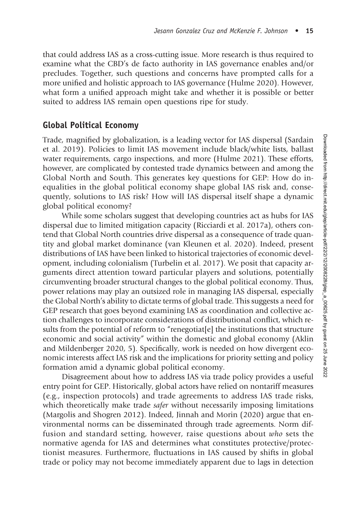that could address IAS as a cross-cutting issue. More research is thus required to examine what the CBD's de facto authority in IAS governance enables and/or precludes. Together, such questions and concerns have prompted calls for a more unified and holistic approach to IAS governance (Hulme 2020). However, what form a unified approach might take and whether it is possible or better suited to address IAS remain open questions ripe for study.

#### Global Political Economy

Trade, magnified by globalization, is a leading vector for IAS dispersal (Sardain et al. 2019). Policies to limit IAS movement include black/white lists, ballast water requirements, cargo inspections, and more (Hulme 2021). These efforts, however, are complicated by contested trade dynamics between and among the Global North and South. This generates key questions for GEP: How do inequalities in the global political economy shape global IAS risk and, consequently, solutions to IAS risk? How will IAS dispersal itself shape a dynamic global political economy?

While some scholars suggest that developing countries act as hubs for IAS dispersal due to limited mitigation capacity (Ricciardi et al. 2017a), others contend that Global North countries drive dispersal as a consequence of trade quantity and global market dominance (van Kleunen et al. 2020). Indeed, present distributions of IAS have been linked to historical trajectories of economic development, including colonialism (Turbelin et al. 2017). We posit that capacity arguments direct attention toward particular players and solutions, potentially circumventing broader structural changes to the global political economy. Thus, power relations may play an outsized role in managing IAS dispersal, especially the Global North's ability to dictate terms of global trade. This suggests a need for GEP research that goes beyond examining IAS as coordination and collective action challenges to incorporate considerations of distributional conflict, which results from the potential of reform to "renegotiat[e] the institutions that structure economic and social activity" within the domestic and global economy (Aklin and Mildenberger 2020, 5). Specifically, work is needed on how divergent economic interests affect IAS risk and the implications for priority setting and policy formation amid a dynamic global political economy.

Disagreement about how to address IAS via trade policy provides a useful entry point for GEP. Historically, global actors have relied on nontariff measures (e.g., inspection protocols) and trade agreements to address IAS trade risks, which theoretically make trade *safer* without necessarily imposing limitations (Margolis and Shogren 2012). Indeed, Jinnah and Morin (2020) argue that environmental norms can be disseminated through trade agreements. Norm diffusion and standard setting, however, raise questions about who sets the normative agenda for IAS and determines what constitutes protective/protectionist measures. Furthermore, fluctuations in IAS caused by shifts in global trade or policy may not become immediately apparent due to lags in detection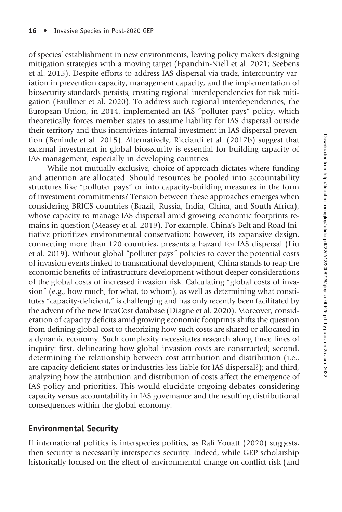of species' establishment in new environments, leaving policy makers designing mitigation strategies with a moving target (Epanchin-Niell et al. 2021; Seebens et al. 2015). Despite efforts to address IAS dispersal via trade, intercountry variation in prevention capacity, management capacity, and the implementation of biosecurity standards persists, creating regional interdependencies for risk mitigation (Faulkner et al. 2020). To address such regional interdependencies, the European Union, in 2014, implemented an IAS "polluter pays" policy, which theoretically forces member states to assume liability for IAS dispersal outside their territory and thus incentivizes internal investment in IAS dispersal prevention (Beninde et al. 2015). Alternatively, Ricciardi et al. (2017b) suggest that external investment in global biosecurity is essential for building capacity of IAS management, especially in developing countries.

While not mutually exclusive, choice of approach dictates where funding and attention are allocated. Should resources be pooled into accountability structures like "polluter pays" or into capacity-building measures in the form of investment commitments? Tension between these approaches emerges when considering BRICS countries (Brazil, Russia, India, China, and South Africa), whose capacity to manage IAS dispersal amid growing economic footprints remains in question (Measey et al. 2019). For example, China's Belt and Road Initiative prioritizes environmental conservation; however, its expansive design, connecting more than 120 countries, presents a hazard for IAS dispersal (Liu et al. 2019). Without global "polluter pays" policies to cover the potential costs of invasion events linked to transnational development, China stands to reap the economic benefits of infrastructure development without deeper considerations of the global costs of increased invasion risk. Calculating "global costs of invasion" (e.g., how much, for what, to whom), as well as determining what constitutes "capacity-deficient," is challenging and has only recently been facilitated by the advent of the new InvaCost database (Diagne et al. 2020). Moreover, consideration of capacity deficits amid growing economic footprints shifts the question from defining global cost to theorizing how such costs are shared or allocated in a dynamic economy. Such complexity necessitates research along three lines of inquiry: first, delineating how global invasion costs are constructed; second, determining the relationship between cost attribution and distribution (i.e., are capacity-deficient states or industries less liable for IAS dispersal?); and third, analyzing how the attribution and distribution of costs affect the emergence of IAS policy and priorities. This would elucidate ongoing debates considering capacity versus accountability in IAS governance and the resulting distributional consequences within the global economy.

### Environmental Security

If international politics is interspecies politics, as Rafi Youatt (2020) suggests, then security is necessarily interspecies security. Indeed, while GEP scholarship historically focused on the effect of environmental change on conflict risk (and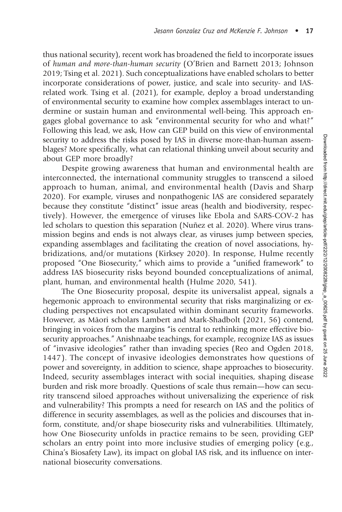thus national security), recent work has broadened the field to incorporate issues of human and more-than-human security (O'Brien and Barnett 2013; Johnson 2019; Tsing et al. 2021). Such conceptualizations have enabled scholars to better incorporate considerations of power, justice, and scale into security- and IASrelated work. Tsing et al. (2021), for example, deploy a broad understanding of environmental security to examine how complex assemblages interact to undermine or sustain human and environmental well-being. This approach engages global governance to ask "environmental security for who and what?" Following this lead, we ask, How can GEP build on this view of environmental security to address the risks posed by IAS in diverse more-than-human assemblages? More specifically, what can relational thinking unveil about security and about GEP more broadly?

Despite growing awareness that human and environmental health are interconnected, the international community struggles to transcend a siloed approach to human, animal, and environmental health (Davis and Sharp 2020). For example, viruses and nonpathogenic IAS are considered separately because they constitute "distinct" issue areas (health and biodiversity, respectively). However, the emergence of viruses like Ebola and SARS-COV-2 has led scholars to question this separation (Nuñez et al. 2020). Where virus transmission begins and ends is not always clear, as viruses jump between species, expanding assemblages and facilitating the creation of novel associations, hybridizations, and/or mutations (Kirksey 2020). In response, Hulme recently proposed "One Biosecurity," which aims to provide a "unified framework" to address IAS biosecurity risks beyond bounded conceptualizations of animal, plant, human, and environmental health (Hulme 2020, 541).

The One Biosecurity proposal, despite its universalist appeal, signals a hegemonic approach to environmental security that risks marginalizing or excluding perspectives not encapsulated within dominant security frameworks. However, as Māori scholars Lambert and Mark-Shadbolt (2021, 56) contend, bringing in voices from the margins "is central to rethinking more effective biosecurity approaches." Anishnaabe teachings, for example, recognize IAS as issues of "invasive ideologies" rather than invading species (Reo and Ogden 2018, 1447). The concept of invasive ideologies demonstrates how questions of power and sovereignty, in addition to science, shape approaches to biosecurity. Indeed, security assemblages interact with social inequities, shaping disease burden and risk more broadly. Questions of scale thus remain—how can security transcend siloed approaches without universalizing the experience of risk and vulnerability? This prompts a need for research on IAS and the politics of difference in security assemblages, as well as the policies and discourses that inform, constitute, and/or shape biosecurity risks and vulnerabilities. Ultimately, how One Biosecurity unfolds in practice remains to be seen, providing GEP scholars an entry point into more inclusive studies of emerging policy (e.g., China's Biosafety Law), its impact on global IAS risk, and its influence on international biosecurity conversations.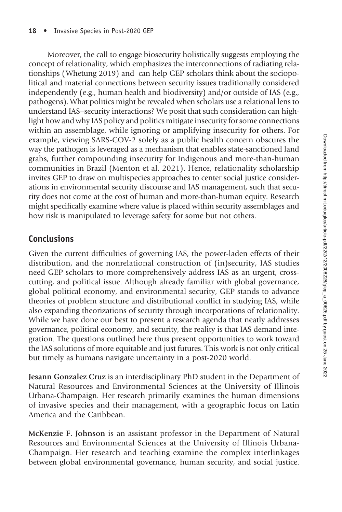Moreover, the call to engage biosecurity holistically suggests employing the concept of relationality, which emphasizes the interconnections of radiating relationships (Whetung 2019) and can help GEP scholars think about the sociopolitical and material connections between security issues traditionally considered independently (e.g., human health and biodiversity) and/or outside of IAS (e.g., pathogens). What politics might be revealed when scholars use a relational lens to understand IAS–security interactions? We posit that such consideration can highlight how and why IAS policy and politics mitigate insecurity for some connections within an assemblage, while ignoring or amplifying insecurity for others. For example, viewing SARS-COV-2 solely as a public health concern obscures the way the pathogen is leveraged as a mechanism that enables state-sanctioned land grabs, further compounding insecurity for Indigenous and more-than-human communities in Brazil (Menton et al. 2021). Hence, relationality scholarship invites GEP to draw on multispecies approaches to center social justice considerations in environmental security discourse and IAS management, such that security does not come at the cost of human and more-than-human equity. Research might specifically examine where value is placed within security assemblages and how risk is manipulated to leverage safety for some but not others.

## Conclusions

Given the current difficulties of governing IAS, the power-laden effects of their distribution, and the nonrelational construction of (in)security, IAS studies need GEP scholars to more comprehensively address IAS as an urgent, crosscutting, and political issue. Although already familiar with global governance, global political economy, and environmental security, GEP stands to advance theories of problem structure and distributional conflict in studying IAS, while also expanding theorizations of security through incorporations of relationality. While we have done our best to present a research agenda that neatly addresses governance, political economy, and security, the reality is that IAS demand integration. The questions outlined here thus present opportunities to work toward the IAS solutions of more equitable and just futures. This work is not only critical but timely as humans navigate uncertainty in a post-2020 world.

Jesann Gonzalez Cruz is an interdisciplinary PhD student in the Department of Natural Resources and Environmental Sciences at the University of Illinois Urbana-Champaign. Her research primarily examines the human dimensions of invasive species and their management, with a geographic focus on Latin America and the Caribbean.

McKenzie F. Johnson is an assistant professor in the Department of Natural Resources and Environmental Sciences at the University of Illinois Urbana-Champaign. Her research and teaching examine the complex interlinkages between global environmental governance, human security, and social justice.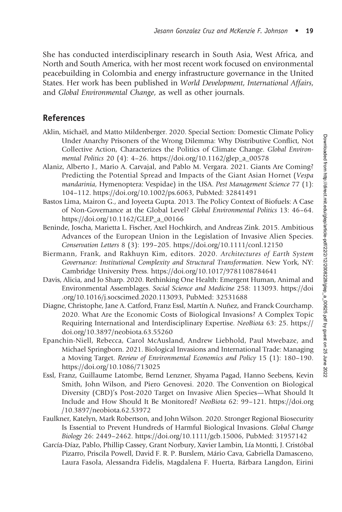She has conducted interdisciplinary research in South Asia, West Africa, and North and South America, with her most recent work focused on environmental peacebuilding in Colombia and energy infrastructure governance in the United States. Her work has been published in World Development, International Affairs, and Global Environmental Change, as well as other journals.

#### References

- Aklin, Michaël, and Matto Mildenberger. 2020. Special Section: Domestic Climate Policy Under Anarchy Prisoners of the Wrong Dilemma: Why Distributive Conflict, Not Collective Action, Characterizes the Politics of Climate Change. Global Environmental Politics 20 (4): 4–26. [https://doi.org/10.1162/glep\\_a\\_00578](https://doi.org/10.1162/glep_a_00578)
- Alaniz, Alberto J., Mario A. Carvajal, and Pablo M. Vergara. 2021. Giants Are Coming? Predicting the Potential Spread and Impacts of the Giant Asian Hornet (Vespa mandarinia, Hymenoptera: Vespidae) in the USA. Pest Management Science 77 (1): 104–112. [https://doi.org/10.1002/ps.6063,](https://doi.org/10.1002/ps.6063) PubMed: [32841491](https://pubmed.ncbi.nlm.nih.gov/32841491)
- Bastos Lima, Mairon G., and Joyeeta Gupta. 2013. The Policy Context of Biofuels: A Case of Non-Governance at the Global Level? Global Environmental Politics 13: 46–64. [https://doi.org/10.1162/GLEP\\_a\\_00166](https://doi.org/10.1162/GLEP_a_00166)
- Beninde, Joscha, Marietta L. Fischer, Axel Hochkirch, and Andreas Zink. 2015. Ambitious Advances of the European Union in the Legislation of Invasive Alien Species. Conservation Letters 8 (3): 199–205.<https://doi.org/10.1111/conl.12150>
- Biermann, Frank, and Rakhuyn Kim, editors. 2020. Architectures of Earth System Governance: Institutional Complexity and Structural Transformation. New York, NY: Cambridge University Press.<https://doi.org/10.1017/9781108784641>
- Davis, Alicia, and Jo Sharp. 2020. Rethinking One Health: Emergent Human, Animal and Environmental Assemblages. Social Science and Medicine 258: 113093. [https://doi](https://doi.org/10.1016/j.socscimed.2020.113093) [.org/10.1016/j.socscimed.2020.113093,](https://doi.org/10.1016/j.socscimed.2020.113093) PubMed: [32531688](https://pubmed.ncbi.nlm.nih.gov/32531688)
- Diagne, Christophe, Jane A. Catford, Franz Essl, Martín A. Nuñez, and Franck Courchamp. 2020. What Are the Economic Costs of Biological Invasions? A Complex Topic Requiring International and Interdisciplinary Expertise. NeoBiota 63: 25. [https://](https://doi.org/10.3897/neobiota.63.55260) [doi.org/10.3897/neobiota.63.55260](https://doi.org/10.3897/neobiota.63.55260)
- Epanchin-Niell, Rebecca, Carol McAusland, Andrew Liebhold, Paul Mwebaze, and Michael Springborn. 2021. Biological Invasions and International Trade: Managing a Moving Target. Review of Environmental Economics and Policy 15 (1): 180–190. <https://doi.org/10.1086/713025>
- Essl, Franz, Guillaume Latombe, Bernd Lenzner, Shyama Pagad, Hanno Seebens, Kevin Smith, John Wilson, and Piero Genovesi. 2020. The Convention on Biological Diversity (CBD)'s Post-2020 Target on Invasive Alien Species—What Should It Include and How Should It Be Monitored? NeoBiota 62: 99–121. [https://doi.org](https://doi.org/10.3897/neobiota.62.53972) [/10.3897/neobiota.62.53972](https://doi.org/10.3897/neobiota.62.53972)
- Faulkner, Katelyn, Mark Robertson, and John Wilson. 2020. Stronger Regional Biosecurity Is Essential to Prevent Hundreds of Harmful Biological Invasions. Global Change Biology 26: 2449–2462. [https://doi.org/10.1111/gcb.15006,](https://doi.org/10.1111/gcb.15006) PubMed: [31957142](https://pubmed.ncbi.nlm.nih.gov/31957142)
- García-Díaz, Pablo, Phillip Cassey, Grant Norbury, Xavier Lambin, Lía Montti, J. Cristóbal Pizarro, Priscila Powell, David F. R. P. Burslem, Mário Cava, Gabriella Damasceno, Laura Fasola, Alessandra Fidelis, Magdalena F. Huerta, Bárbara Langdon, Eirini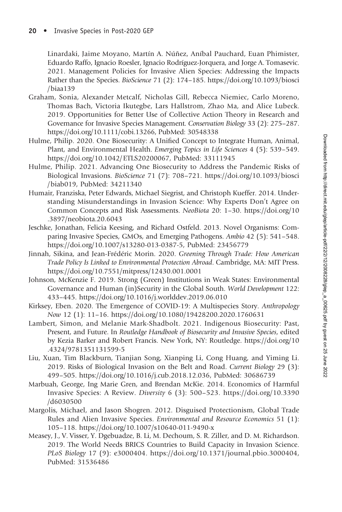Linardaki, Jaime Moyano, Martín A. Núñez, Aníbal Pauchard, Euan Phimister, Eduardo Raffo, Ignacio Roesler, Ignacio Rodríguez-Jorquera, and Jorge A. Tomasevic. 2021. Management Policies for Invasive Alien Species: Addressing the Impacts Rather than the Species. BioScience 71 (2): 174–185. [https://doi.org/10.1093/biosci](https://doi.org/10.1093/biosci/biaa139) [/biaa139](https://doi.org/10.1093/biosci/biaa139)

- Graham, Sonia, Alexander Metcalf, Nicholas Gill, Rebecca Niemiec, Carlo Moreno, Thomas Bach, Victoria Ikutegbe, Lars Hallstrom, Zhao Ma, and Alice Lubeck. 2019. Opportunities for Better Use of Collective Action Theory in Research and Governance for Invasive Species Management. Conservation Biology 33 (2): 275–287. <https://doi.org/10.1111/cobi.13266>, PubMed: [30548338](https://pubmed.ncbi.nlm.nih.gov/30548338)
- Hulme, Philip. 2020. One Biosecurity: A Unified Concept to Integrate Human, Animal, Plant, and Environmental Health. Emerging Topics in Life Sciences 4 (5): 539–549. <https://doi.org/10.1042/ETLS20200067>, PubMed: [33111945](https://pubmed.ncbi.nlm.nih.gov/33111945)
- Hulme, Philip. 2021. Advancing One Biosecurity to Address the Pandemic Risks of Biological Invasions. BioScience 71 (7): 708–721. [https://doi.org/10.1093/biosci](https://doi.org/10.1093/biosci/biab019) [/biab019](https://doi.org/10.1093/biosci/biab019), PubMed: [34211340](https://pubmed.ncbi.nlm.nih.gov/34211340)
- Humair, Franziska, Peter Edwards, Michael Siegrist, and Christoph Kueffer. 2014. Understanding Misunderstandings in Invasion Science: Why Experts Don't Agree on Common Concepts and Risk Assessments. NeoBiota 20: 1–30. [https://doi.org/10](https://doi.org/10.3897/neobiota.20.6043) [.3897/neobiota.20.6043](https://doi.org/10.3897/neobiota.20.6043)
- Jeschke, Jonathan, Felicia Keesing, and Richard Ostfeld. 2013. Novel Organisms: Comparing Invasive Species, GMOs, and Emerging Pathogens. Ambio 42 (5): 541–548. <https://doi.org/10.1007/s13280-013-0387-5>, PubMed: [23456779](https://pubmed.ncbi.nlm.nih.gov/23456779)
- Jinnah, Sikina, and Jean-Frédéric Morin. 2020. Greening Through Trade: How American Trade Policy Is Linked to Environmental Protection Abroad. Cambridge, MA: MIT Press. <https://doi.org/10.7551/mitpress/12430.001.0001>
- Johnson, McKenzie F. 2019. Strong (Green) Institutions in Weak States: Environmental Governance and Human (in)Security in the Global South. World Development 122: 433–445.<https://doi.org/10.1016/j.worlddev.2019.06.010>
- Kirksey, Eben. 2020. The Emergence of COVID-19: A Multispecies Story. Anthropology Now 12 (1): 11–16.<https://doi.org/10.1080/19428200.2020.1760631>
- Lambert, Simon, and Melanie Mark-Shadbolt. 2021. Indigenous Biosecurity: Past, Present, and Future. In Routledge Handbook of Biosecurity and Invasive Species, edited by Kezia Barker and Robert Francis. New York, NY: Routledge. [https://doi.org/10](https://doi.org/10.4324/9781351131599-5) [.4324/9781351131599-5](https://doi.org/10.4324/9781351131599-5)
- Liu, Xuan, Tim Blackburn, Tianjian Song, Xianping Li, Cong Huang, and Yiming Li. 2019. Risks of Biological Invasion on the Belt and Road. Current Biology 29 (3): 499–505. [https://doi.org/10.1016/j.cub.2018.12.036,](https://doi.org/10.1016/j.cub.2018.12.036) PubMed: [30686739](https://pubmed.ncbi.nlm.nih.gov/30686739)
- Marbuah, George, Ing Marie Gren, and Brendan McKie. 2014. Economics of Harmful Invasive Species: A Review. Diversity 6 (3): 500–523. [https://doi.org/10.3390](https://doi.org/10.3390/d6030500) [/d6030500](https://doi.org/10.3390/d6030500)
- Margolis, Michael, and Jason Shogren. 2012. Disguised Protectionism, Global Trade Rules and Alien Invasive Species. Environmental and Resource Economics 51 (1): 105–118.<https://doi.org/10.1007/s10640-011-9490-x>
- Measey, J., V. Visser, Y. Dgebuadze, B. Li, M. Dechoum, S. R. Ziller, and D. M. Richardson. 2019. The World Needs BRICS Countries to Build Capacity in Invasion Science. PLoS Biology 17 (9): e3000404. [https://doi.org/10.1371/journal.pbio.3000404,](https://doi.org/10.1371/journal.pbio.3000404) PubMed: [31536486](https://pubmed.ncbi.nlm.nih.gov/31536486)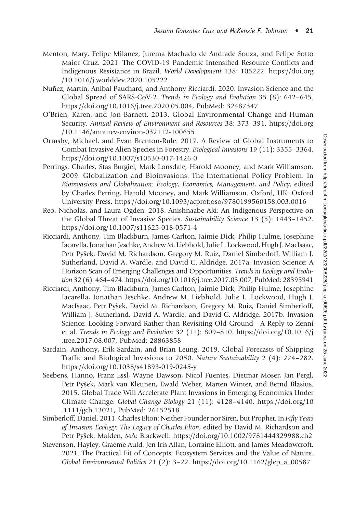- Menton, Mary, Felipe Milanez, Jurema Machado de Andrade Souza, and Felipe Sotto Maior Cruz. 2021. The COVID-19 Pandemic Intensified Resource Conflicts and Indigenous Resistance in Brazil. World Development 138: 105222. [https://doi.org](https://doi.org/10.1016/j.worlddev.2020.105222) [/10.1016/j.worlddev.2020.105222](https://doi.org/10.1016/j.worlddev.2020.105222)
- Nuñez, Martin, Anibal Pauchard, and Anthony Ricciardi. 2020. Invasion Science and the Global Spread of SARS-CoV-2. Trends in Ecology and Evolution 35 (8): 642–645. [https://doi.org/10.1016/j.tree.2020.05.004,](https://doi.org/10.1016/j.tree.2020.05.004) PubMed: [32487347](https://pubmed.ncbi.nlm.nih.gov/32487347)
- O'Brien, Karen, and Jon Barnett. 2013. Global Environmental Change and Human Security. Annual Review of Environment and Resources 38: 373–391. [https://doi.org](https://doi.org/10.1146/annurev-environ-032112-100655) [/10.1146/annurev-environ-032112-100655](https://doi.org/10.1146/annurev-environ-032112-100655)
- Ormsby, Michael, and Evan Brenton-Rule. 2017. A Review of Global Instruments to Combat Invasive Alien Species in Forestry. Biological Invasions 19 (11): 3355–3364. <https://doi.org/10.1007/s10530-017-1426-0>
- Perrings, Charles, Stas Burgiel, Mark Lonsdale, Harold Mooney, and Mark Williamson. 2009. Globalization and Bioinvasions: The International Policy Problem. In Bioinvasions and Globalization: Ecology, Economics, Management, and Policy, edited by Charles Perring, Harold Mooney, and Mark Williamson. Oxford, UK: Oxford University Press.<https://doi.org/10.1093/acprof:oso/9780199560158.003.0016>
- Reo, Nicholas, and Laura Ogden. 2018. Anishnaabe Aki: An Indigenous Perspective on the Global Threat of Invasive Species. Sustainability Science 13 (5): 1443–1452. <https://doi.org/10.1007/s11625-018-0571-4>
- Ricciardi, Anthony, Tim Blackburn, James Carlton, Jaimie Dick, Philip Hulme, Josephine Iacarella, Jonathan Jeschke, Andrew M. Liebhold, Julie L. Lockwood, Hugh J. MacIsaac, Petr Pyšek, David M. Richardson, Gregory M. Ruiz, Daniel Simberloff, William J. Sutherland, David A. Wardle, and David C. Aldridge. 2017a. Invasion Science: A Horizon Scan of Emerging Challenges and Opportunities. Trends in Ecology and Evolution 32 (6): 464–474.<https://doi.org/10.1016/j.tree.2017.03.007>, PubMed: [28395941](https://pubmed.ncbi.nlm.nih.gov/28395941)
- Ricciardi, Anthony, Tim Blackburn, James Carlton, Jaimie Dick, Philip Hulme, Josephine Iacarella, Jonathan Jeschke, Andrew M. Liebhold, Julie L. Lockwood, Hugh J. MacIsaac, Petr Pyšek, David M. Richardson, Gregory M. Ruiz, Daniel Simberloff, William J. Sutherland, David A. Wardle, and David C. Aldridge. 2017b. Invasion Science: Looking Forward Rather than Revisiting Old Ground—A Reply to Zenni et al. Trends in Ecology and Evolution 32 (11): 809–810. [https://doi.org/10.1016/j](https://doi.org/10.1016/j.tree.2017.08.007) [.tree.2017.08.007,](https://doi.org/10.1016/j.tree.2017.08.007) PubMed: [28863858](https://pubmed.ncbi.nlm.nih.gov/28863858)
- Sardain, Anthony, Erik Sardain, and Brian Leung. 2019. Global Forecasts of Shipping Traffic and Biological Invasions to 2050. Nature Sustainability 2 (4): 274–282. <https://doi.org/10.1038/s41893-019-0245-y>
- Seebens, Hanno, Franz Essl, Wayne Dawson, Nicol Fuentes, Dietmar Moser, Jan Pergl, Petr Pyšek, Mark van Kleunen, Ewald Weber, Marten Winter, and Bernd Blasius. 2015. Global Trade Will Accelerate Plant Invasions in Emerging Economies Under Climate Change. Global Change Biology 21 (11): 4128–4140. [https://doi.org/10](https://doi.org/10.1111/gcb.13021) [.1111/gcb.13021,](https://doi.org/10.1111/gcb.13021) PubMed: [26152518](https://pubmed.ncbi.nlm.nih.gov/26152518)
- Simberloff, Daniel. 2011. Charles Elton: Neither Founder nor Siren, but Prophet. In Fifty Years of Invasion Ecology: The Legacy of Charles Elton, edited by David M. Richardson and Petr Pyšek. Malden, MA: Blackwell.<https://doi.org/10.1002/9781444329988.ch2>
- Stevenson, Hayley, Graeme Auld, Jen Iris Allan, Lorraine Elliott, and James Meadowcroft. 2021. The Practical Fit of Concepts: Ecosystem Services and the Value of Nature. Global Environmental Politics 21 (2): 3–22. [https://doi.org/10.1162/glep\\_a\\_00587](https://doi.org/10.1162/glep_a_00587)